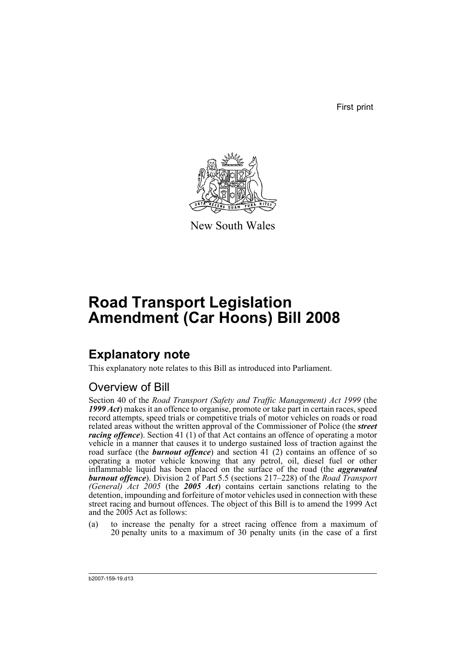First print



New South Wales

# **Road Transport Legislation Amendment (Car Hoons) Bill 2008**

# **Explanatory note**

This explanatory note relates to this Bill as introduced into Parliament.

## Overview of Bill

Section 40 of the *Road Transport (Safety and Traffic Management) Act 1999* (the *1999 Act*) makes it an offence to organise, promote or take part in certain races, speed record attempts, speed trials or competitive trials of motor vehicles on roads or road related areas without the written approval of the Commissioner of Police (the *street racing offence*). Section 41 (1) of that Act contains an offence of operating a motor vehicle in a manner that causes it to undergo sustained loss of traction against the road surface (the *burnout offence*) and section 41 (2) contains an offence of so operating a motor vehicle knowing that any petrol, oil, diesel fuel or other inflammable liquid has been placed on the surface of the road (the *aggravated burnout offence*). Division 2 of Part 5.5 (sections 217–228) of the *Road Transport (General) Act 2005* (the *2005 Act*) contains certain sanctions relating to the detention, impounding and forfeiture of motor vehicles used in connection with these street racing and burnout offences. The object of this Bill is to amend the 1999 Act and the 2005 Act as follows:

(a) to increase the penalty for a street racing offence from a maximum of 20 penalty units to a maximum of 30 penalty units (in the case of a first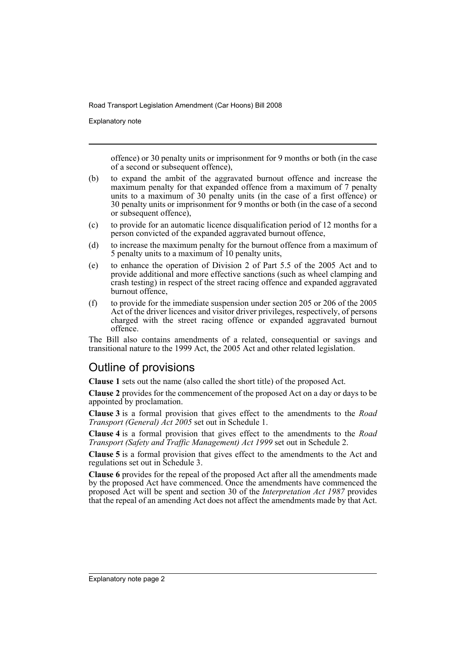Explanatory note

offence) or 30 penalty units or imprisonment for 9 months or both (in the case of a second or subsequent offence),

- (b) to expand the ambit of the aggravated burnout offence and increase the maximum penalty for that expanded offence from a maximum of 7 penalty units to a maximum of 30 penalty units (in the case of a first offence) or 30 penalty units or imprisonment for 9 months or both (in the case of a second or subsequent offence),
- (c) to provide for an automatic licence disqualification period of 12 months for a person convicted of the expanded aggravated burnout offence,
- (d) to increase the maximum penalty for the burnout offence from a maximum of 5 penalty units to a maximum of 10 penalty units,
- (e) to enhance the operation of Division 2 of Part 5.5 of the 2005 Act and to provide additional and more effective sanctions (such as wheel clamping and crash testing) in respect of the street racing offence and expanded aggravated burnout offence,
- (f) to provide for the immediate suspension under section 205 or 206 of the 2005 Act of the driver licences and visitor driver privileges, respectively, of persons charged with the street racing offence or expanded aggravated burnout offence.

The Bill also contains amendments of a related, consequential or savings and transitional nature to the 1999 Act, the 2005 Act and other related legislation.

## Outline of provisions

**Clause 1** sets out the name (also called the short title) of the proposed Act.

**Clause 2** provides for the commencement of the proposed Act on a day or days to be appointed by proclamation.

**Clause 3** is a formal provision that gives effect to the amendments to the *Road Transport (General) Act 2005* set out in Schedule 1.

**Clause 4** is a formal provision that gives effect to the amendments to the *Road Transport (Safety and Traffic Management) Act 1999* set out in Schedule 2.

**Clause 5** is a formal provision that gives effect to the amendments to the Act and regulations set out in Schedule 3.

**Clause 6** provides for the repeal of the proposed Act after all the amendments made by the proposed Act have commenced. Once the amendments have commenced the proposed Act will be spent and section 30 of the *Interpretation Act 1987* provides that the repeal of an amending Act does not affect the amendments made by that Act.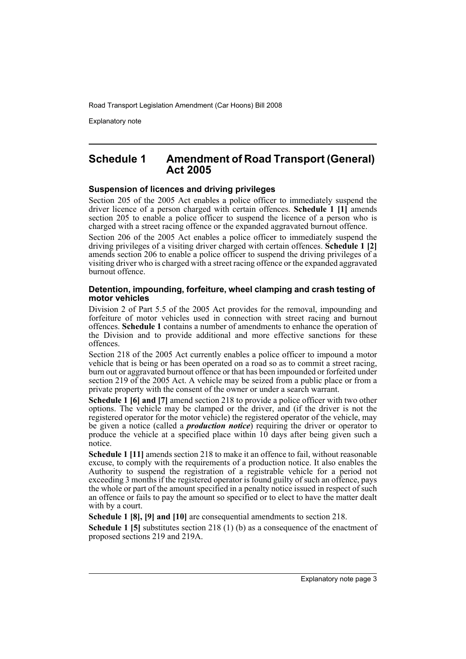Explanatory note

## **Schedule 1 Amendment of Road Transport (General) Act 2005**

### **Suspension of licences and driving privileges**

Section 205 of the 2005 Act enables a police officer to immediately suspend the driver licence of a person charged with certain offences. **Schedule 1 [1]** amends section 205 to enable a police officer to suspend the licence of a person who is charged with a street racing offence or the expanded aggravated burnout offence.

Section 206 of the 2005 Act enables a police officer to immediately suspend the driving privileges of a visiting driver charged with certain offences. **Schedule 1 [2]** amends section 206 to enable a police officer to suspend the driving privileges of a visiting driver who is charged with a street racing offence or the expanded aggravated burnout offence.

### **Detention, impounding, forfeiture, wheel clamping and crash testing of motor vehicles**

Division 2 of Part 5.5 of the 2005 Act provides for the removal, impounding and forfeiture of motor vehicles used in connection with street racing and burnout offences. **Schedule 1** contains a number of amendments to enhance the operation of the Division and to provide additional and more effective sanctions for these offences.

Section 218 of the 2005 Act currently enables a police officer to impound a motor vehicle that is being or has been operated on a road so as to commit a street racing, burn out or aggravated burnout offence or that has been impounded or forfeited under section 219 of the 2005 Act. A vehicle may be seized from a public place or from a private property with the consent of the owner or under a search warrant.

**Schedule 1 [6] and [7]** amend section 218 to provide a police officer with two other options. The vehicle may be clamped or the driver, and (if the driver is not the registered operator for the motor vehicle) the registered operator of the vehicle, may be given a notice (called a *production notice*) requiring the driver or operator to produce the vehicle at a specified place within 10 days after being given such a notice.

**Schedule 1 [11]** amends section 218 to make it an offence to fail, without reasonable excuse, to comply with the requirements of a production notice. It also enables the Authority to suspend the registration of a registrable vehicle for a period not exceeding 3 months if the registered operator is found guilty of such an offence, pays the whole or part of the amount specified in a penalty notice issued in respect of such an offence or fails to pay the amount so specified or to elect to have the matter dealt with by a court.

**Schedule 1 [8], [9] and [10]** are consequential amendments to section 218.

**Schedule 1 [5]** substitutes section 218 (1) (b) as a consequence of the enactment of proposed sections 219 and 219A.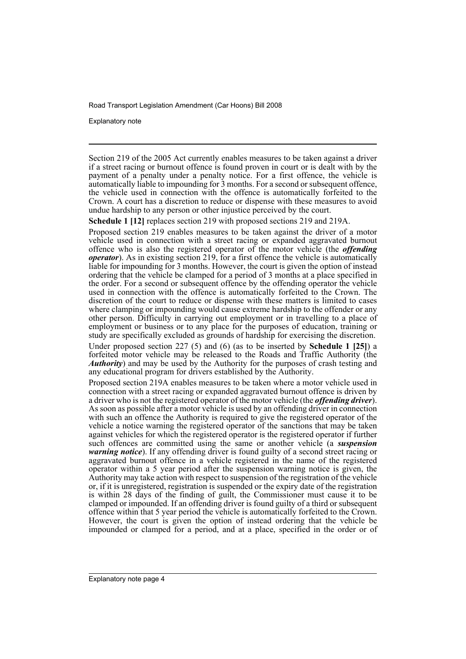Explanatory note

Section 219 of the 2005 Act currently enables measures to be taken against a driver if a street racing or burnout offence is found proven in court or is dealt with by the payment of a penalty under a penalty notice. For a first offence, the vehicle is automatically liable to impounding for 3 months. For a second or subsequent offence, the vehicle used in connection with the offence is automatically forfeited to the Crown. A court has a discretion to reduce or dispense with these measures to avoid undue hardship to any person or other injustice perceived by the court.

**Schedule 1 [12]** replaces section 219 with proposed sections 219 and 219A.

Proposed section 219 enables measures to be taken against the driver of a motor vehicle used in connection with a street racing or expanded aggravated burnout offence who is also the registered operator of the motor vehicle (the *offending operator*). As in existing section 219, for a first offence the vehicle is automatically liable for impounding for 3 months. However, the court is given the option of instead ordering that the vehicle be clamped for a period of 3 months at a place specified in the order. For a second or subsequent offence by the offending operator the vehicle used in connection with the offence is automatically forfeited to the Crown. The discretion of the court to reduce or dispense with these matters is limited to cases where clamping or impounding would cause extreme hardship to the offender or any other person. Difficulty in carrying out employment or in travelling to a place of employment or business or to any place for the purposes of education, training or study are specifically excluded as grounds of hardship for exercising the discretion.

Under proposed section 227 (5) and (6) (as to be inserted by **Schedule 1 [25]**) a forfeited motor vehicle may be released to the Roads and Traffic Authority (the *Authority*) and may be used by the Authority for the purposes of crash testing and any educational program for drivers established by the Authority.

Proposed section 219A enables measures to be taken where a motor vehicle used in connection with a street racing or expanded aggravated burnout offence is driven by a driver who is not the registered operator of the motor vehicle (the *offending driver*). As soon as possible after a motor vehicle is used by an offending driver in connection with such an offence the Authority is required to give the registered operator of the vehicle a notice warning the registered operator of the sanctions that may be taken against vehicles for which the registered operator is the registered operator if further such offences are committed using the same or another vehicle (a *suspension warning notice*). If any offending driver is found guilty of a second street racing or aggravated burnout offence in a vehicle registered in the name of the registered operator within a 5 year period after the suspension warning notice is given, the Authority may take action with respect to suspension of the registration of the vehicle or, if it is unregistered, registration is suspended or the expiry date of the registration is within 28 days of the finding of guilt, the Commissioner must cause it to be clamped or impounded. If an offending driver is found guilty of a third or subsequent offence within that 5 year period the vehicle is automatically forfeited to the Crown. However, the court is given the option of instead ordering that the vehicle be impounded or clamped for a period, and at a place, specified in the order or of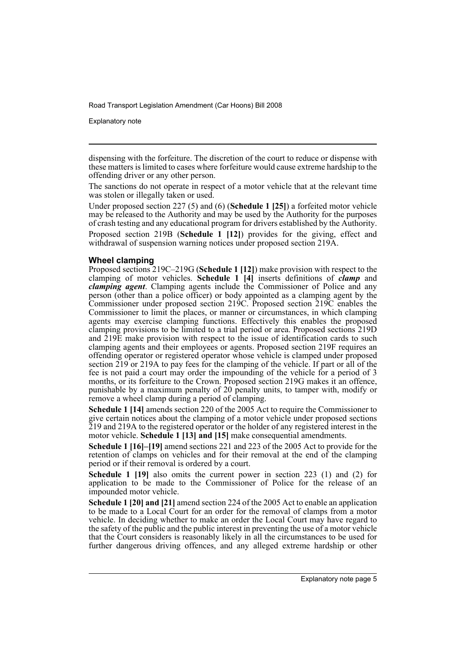Explanatory note

The sanctions do not operate in respect of a motor vehicle that at the relevant time was stolen or illegally taken or used.

Under proposed section 227 (5) and (6) (**Schedule 1 [25]**) a forfeited motor vehicle may be released to the Authority and may be used by the Authority for the purposes of crash testing and any educational program for drivers established by the Authority. Proposed section 219B (**Schedule 1 [12]**) provides for the giving, effect and withdrawal of suspension warning notices under proposed section 219A.

## **Wheel clamping**

Proposed sections 219C–219G (**Schedule 1 [12]**) make provision with respect to the clamping of motor vehicles. **Schedule 1 [4]** inserts definitions of *clamp* and *clamping agent*. Clamping agents include the Commissioner of Police and any person (other than a police officer) or body appointed as a clamping agent by the Commissioner under proposed section 219C. Proposed section 219C enables the Commissioner to limit the places, or manner or circumstances, in which clamping agents may exercise clamping functions. Effectively this enables the proposed clamping provisions to be limited to a trial period or area. Proposed sections 219D and 219E make provision with respect to the issue of identification cards to such clamping agents and their employees or agents. Proposed section 219F requires an offending operator or registered operator whose vehicle is clamped under proposed section  $219$  or 219A to pay fees for the clamping of the vehicle. If part or all of the fee is not paid a court may order the impounding of the vehicle for a period of 3 months, or its forfeiture to the Crown. Proposed section 219G makes it an offence, punishable by a maximum penalty of 20 penalty units, to tamper with, modify or remove a wheel clamp during a period of clamping.

**Schedule 1 [14]** amends section 220 of the 2005 Act to require the Commissioner to give certain notices about the clamping of a motor vehicle under proposed sections 219 and 219A to the registered operator or the holder of any registered interest in the motor vehicle. **Schedule 1 [13] and [15]** make consequential amendments.

**Schedule 1 [16]–[19]** amend sections 221 and 223 of the 2005 Act to provide for the retention of clamps on vehicles and for their removal at the end of the clamping period or if their removal is ordered by a court.

**Schedule 1 [19]** also omits the current power in section 223 (1) and (2) for application to be made to the Commissioner of Police for the release of an impounded motor vehicle.

**Schedule 1 [20] and [21]** amend section 224 of the 2005 Act to enable an application to be made to a Local Court for an order for the removal of clamps from a motor vehicle. In deciding whether to make an order the Local Court may have regard to the safety of the public and the public interest in preventing the use of a motor vehicle that the Court considers is reasonably likely in all the circumstances to be used for further dangerous driving offences, and any alleged extreme hardship or other

dispensing with the forfeiture. The discretion of the court to reduce or dispense with these matters is limited to cases where forfeiture would cause extreme hardship to the offending driver or any other person.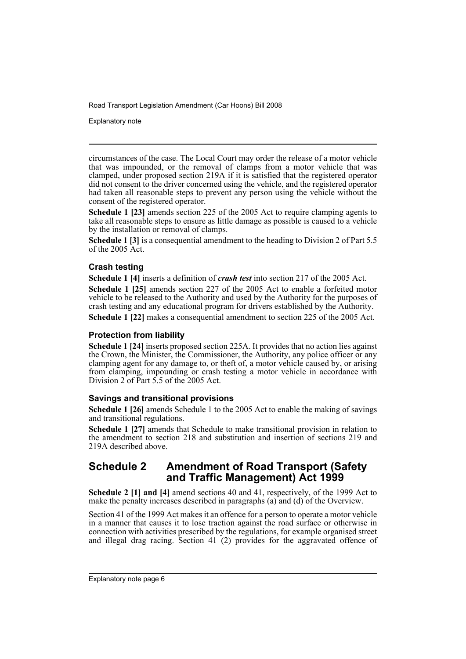Explanatory note

circumstances of the case. The Local Court may order the release of a motor vehicle that was impounded, or the removal of clamps from a motor vehicle that was clamped, under proposed section 219A if it is satisfied that the registered operator did not consent to the driver concerned using the vehicle, and the registered operator had taken all reasonable steps to prevent any person using the vehicle without the consent of the registered operator.

**Schedule 1 [23]** amends section 225 of the 2005 Act to require clamping agents to take all reasonable steps to ensure as little damage as possible is caused to a vehicle by the installation or removal of clamps.

**Schedule 1 [3]** is a consequential amendment to the heading to Division 2 of Part 5.5 of the 2005 Act.

## **Crash testing**

**Schedule 1 [4]** inserts a definition of *crash test* into section 217 of the 2005 Act.

**Schedule 1 [25]** amends section 227 of the 2005 Act to enable a forfeited motor vehicle to be released to the Authority and used by the Authority for the purposes of crash testing and any educational program for drivers established by the Authority.

**Schedule 1 [22]** makes a consequential amendment to section 225 of the 2005 Act.

## **Protection from liability**

**Schedule 1 [24]** inserts proposed section 225A. It provides that no action lies against the Crown, the Minister, the Commissioner, the Authority, any police officer or any clamping agent for any damage to, or theft of, a motor vehicle caused by, or arising from clamping, impounding or crash testing a motor vehicle in accordance with Division 2 of Part 5.5 of the 2005 Act.

## **Savings and transitional provisions**

**Schedule 1 [26]** amends Schedule 1 to the 2005 Act to enable the making of savings and transitional regulations.

**Schedule 1 [27]** amends that Schedule to make transitional provision in relation to the amendment to section 218 and substitution and insertion of sections 219 and 219A described above.

## **Schedule 2 Amendment of Road Transport (Safety and Traffic Management) Act 1999**

**Schedule 2 [1] and [4]** amend sections 40 and 41, respectively, of the 1999 Act to make the penalty increases described in paragraphs (a) and (d) of the Overview.

Section 41 of the 1999 Act makes it an offence for a person to operate a motor vehicle in a manner that causes it to lose traction against the road surface or otherwise in connection with activities prescribed by the regulations, for example organised street and illegal drag racing. Section 41 (2) provides for the aggravated offence of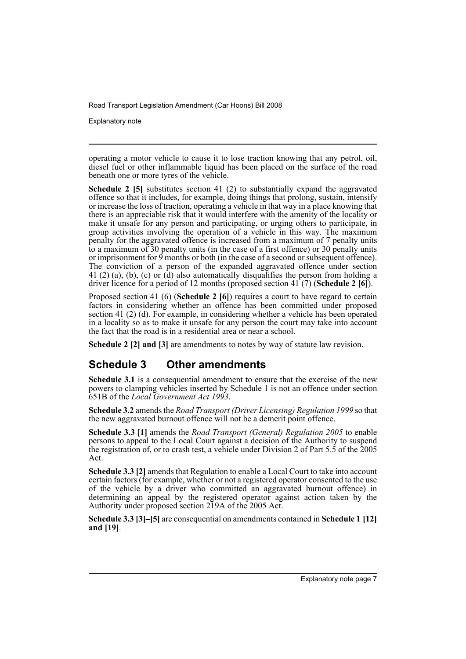Explanatory note

operating a motor vehicle to cause it to lose traction knowing that any petrol, oil, diesel fuel or other inflammable liquid has been placed on the surface of the road beneath one or more tyres of the vehicle.

**Schedule 2 [5]** substitutes section 41 (2) to substantially expand the aggravated offence so that it includes, for example, doing things that prolong, sustain, intensify or increase the loss of traction, operating a vehicle in that way in a place knowing that there is an appreciable risk that it would interfere with the amenity of the locality or make it unsafe for any person and participating, or urging others to participate, in group activities involving the operation of a vehicle in this way. The maximum penalty for the aggravated offence is increased from a maximum of 7 penalty units to a maximum of  $\overline{3}0$  penalty units (in the case of a first offence) or  $30$  penalty units or imprisonment for  $\overline{9}$  months or both (in the case of a second or subsequent offence). The conviction of a person of the expanded aggravated offence under section 41 (2) (a), (b), (c) or (d) also automatically disqualifies the person from holding a driver licence for a period of 12 months (proposed section 41 (7) (**Schedule 2 [6]**).

Proposed section 41 (6) (**Schedule 2 [6]**) requires a court to have regard to certain factors in considering whether an offence has been committed under proposed section 41 (2) (d). For example, in considering whether a vehicle has been operated in a locality so as to make it unsafe for any person the court may take into account the fact that the road is in a residential area or near a school.

**Schedule 2 [2] and [3]** are amendments to notes by way of statute law revision.

## **Schedule 3 Other amendments**

**Schedule 3.1** is a consequential amendment to ensure that the exercise of the new powers to clamping vehicles inserted by Schedule 1 is not an offence under section 651B of the *Local Government Act 1993*.

**Schedule 3.2** amends the *Road Transport (Driver Licensing) Regulation 1999* so that the new aggravated burnout offence will not be a demerit point offence.

**Schedule 3.3 [1]** amends the *Road Transport (General) Regulation 2005* to enable persons to appeal to the Local Court against a decision of the Authority to suspend the registration of, or to crash test, a vehicle under Division 2 of Part  $5.\overline{5}$  of the  $2005$ Act.

**Schedule 3.3 [2]** amends that Regulation to enable a Local Court to take into account certain factors (for example, whether or not a registered operator consented to the use of the vehicle by a driver who committed an aggravated burnout offence) in determining an appeal by the registered operator against action taken by the Authority under proposed section 219A of the 2005 Act.

**Schedule 3.3 [3]–[5]** are consequential on amendments contained in **Schedule 1 [12] and [19]**.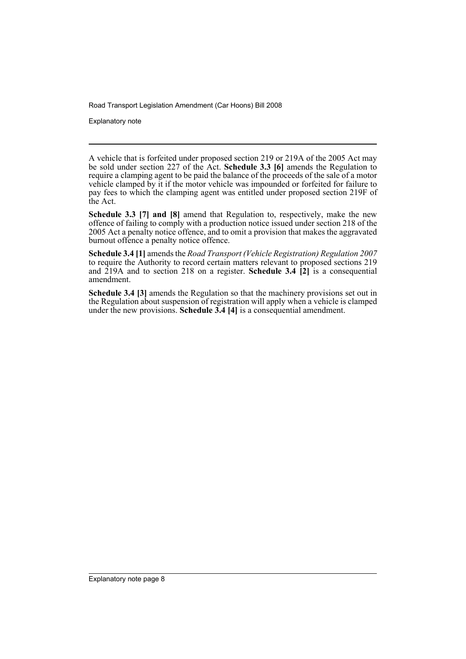Explanatory note

A vehicle that is forfeited under proposed section 219 or 219A of the 2005 Act may be sold under section 227 of the Act. **Schedule 3.3 [6]** amends the Regulation to require a clamping agent to be paid the balance of the proceeds of the sale of a motor vehicle clamped by it if the motor vehicle was impounded or forfeited for failure to pay fees to which the clamping agent was entitled under proposed section 219F of the Act.

**Schedule 3.3 [7] and [8]** amend that Regulation to, respectively, make the new offence of failing to comply with a production notice issued under section 218 of the 2005 Act a penalty notice offence, and to omit a provision that makes the aggravated burnout offence a penalty notice offence.

**Schedule 3.4 [1]** amends the *Road Transport (Vehicle Registration) Regulation 2007* to require the Authority to record certain matters relevant to proposed sections 219 and  $\overline{2}$ 19A and to section 218 on a register. **Schedule 3.4**  $\overline{2}$  is a consequential amendment.

**Schedule 3.4 [3]** amends the Regulation so that the machinery provisions set out in the Regulation about suspension of registration will apply when a vehicle is clamped under the new provisions. **Schedule 3.4 [4]** is a consequential amendment.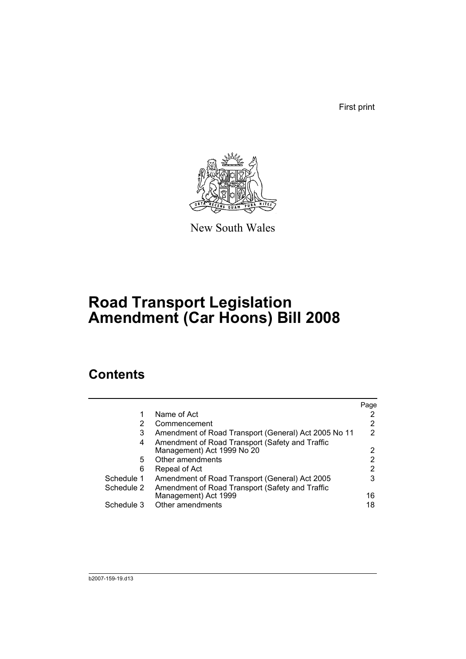First print



New South Wales

# **Road Transport Legislation Amendment (Car Hoons) Bill 2008**

# **Contents**

|            |                                                      | Page |
|------------|------------------------------------------------------|------|
| 1          | Name of Act                                          | 2    |
| 2          | Commencement                                         | 2    |
| 3          | Amendment of Road Transport (General) Act 2005 No 11 | 2    |
| 4          | Amendment of Road Transport (Safety and Traffic      |      |
|            | Management) Act 1999 No 20                           | 2    |
| 5          | Other amendments                                     | 2    |
| 6          | Repeal of Act                                        | 2    |
| Schedule 1 | Amendment of Road Transport (General) Act 2005       | 3    |
| Schedule 2 | Amendment of Road Transport (Safety and Traffic      |      |
|            | Management) Act 1999                                 | 16   |
| Schedule 3 | Other amendments                                     | 18   |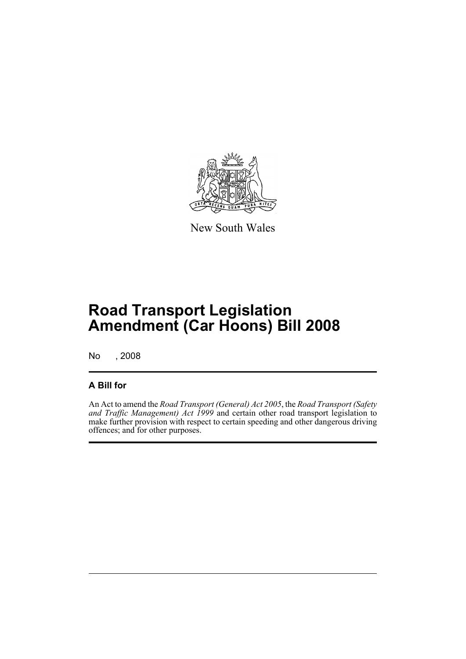

New South Wales

# **Road Transport Legislation Amendment (Car Hoons) Bill 2008**

No , 2008

## **A Bill for**

An Act to amend the *Road Transport (General) Act 2005*, the *Road Transport (Safety and Traffic Management) Act 1999* and certain other road transport legislation to make further provision with respect to certain speeding and other dangerous driving offences; and for other purposes.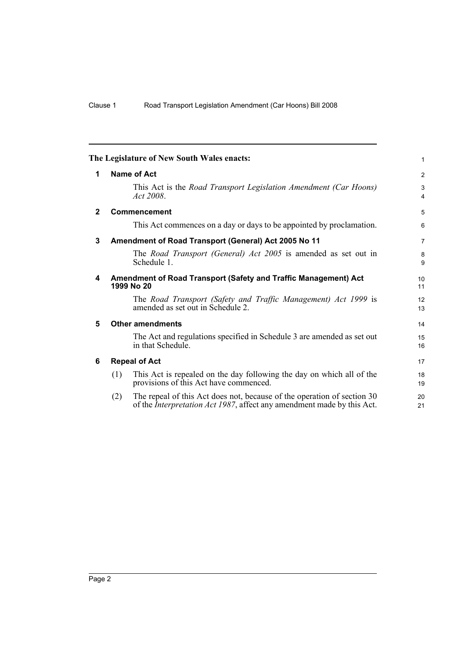<span id="page-11-5"></span><span id="page-11-4"></span><span id="page-11-3"></span><span id="page-11-2"></span><span id="page-11-1"></span><span id="page-11-0"></span>

|              | The Legislature of New South Wales enacts:                                                                                                               | $\mathbf{1}$        |  |  |  |  |  |
|--------------|----------------------------------------------------------------------------------------------------------------------------------------------------------|---------------------|--|--|--|--|--|
| 1            | <b>Name of Act</b>                                                                                                                                       |                     |  |  |  |  |  |
|              | This Act is the Road Transport Legislation Amendment (Car Hoons)<br>Act 2008.                                                                            | 3<br>$\overline{4}$ |  |  |  |  |  |
| $\mathbf{2}$ | <b>Commencement</b>                                                                                                                                      | 5                   |  |  |  |  |  |
|              | This Act commences on a day or days to be appointed by proclamation.                                                                                     | 6                   |  |  |  |  |  |
| 3            | Amendment of Road Transport (General) Act 2005 No 11                                                                                                     | $\overline{7}$      |  |  |  |  |  |
|              | The Road Transport (General) Act 2005 is amended as set out in<br>Schedule 1.                                                                            | 8<br>9              |  |  |  |  |  |
| 4            | Amendment of Road Transport (Safety and Traffic Management) Act<br>1999 No 20                                                                            | 10<br>11            |  |  |  |  |  |
|              | The Road Transport (Safety and Traffic Management) Act 1999 is<br>amended as set out in Schedule 2.                                                      | 12<br>13            |  |  |  |  |  |
| 5            | <b>Other amendments</b>                                                                                                                                  | 14                  |  |  |  |  |  |
|              | The Act and regulations specified in Schedule 3 are amended as set out<br>in that Schedule.                                                              | 15<br>16            |  |  |  |  |  |
| 6            | <b>Repeal of Act</b>                                                                                                                                     | 17                  |  |  |  |  |  |
|              | This Act is repealed on the day following the day on which all of the<br>(1)<br>provisions of this Act have commenced.                                   | 18<br>19            |  |  |  |  |  |
|              | The repeal of this Act does not, because of the operation of section 30<br>(2)<br>of the Interpretation Act 1987, affect any amendment made by this Act. | 20<br>21            |  |  |  |  |  |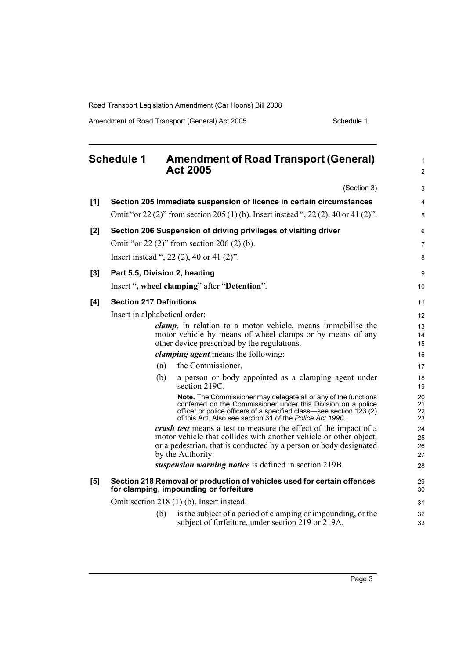Amendment of Road Transport (General) Act 2005 Schedule 1

<span id="page-12-0"></span>

|     | <b>Schedule 1</b>              | <b>Amendment of Road Transport (General)</b><br><b>Act 2005</b>                                                                                                                                                                                                     | 1<br>$\overline{c}$  |
|-----|--------------------------------|---------------------------------------------------------------------------------------------------------------------------------------------------------------------------------------------------------------------------------------------------------------------|----------------------|
|     |                                | (Section 3)                                                                                                                                                                                                                                                         | 3                    |
| [1] |                                | Section 205 Immediate suspension of licence in certain circumstances                                                                                                                                                                                                | 4                    |
|     |                                | Omit "or 22 (2)" from section 205 (1) (b). Insert instead ", 22 (2), 40 or 41 (2)".                                                                                                                                                                                 | 5                    |
| [2] |                                | Section 206 Suspension of driving privileges of visiting driver                                                                                                                                                                                                     | 6                    |
|     |                                | Omit "or 22 $(2)$ " from section 206 $(2)$ $(b)$ .                                                                                                                                                                                                                  | 7                    |
|     |                                | Insert instead ", 22 (2), 40 or 41 (2)".                                                                                                                                                                                                                            | 8                    |
| [3] | Part 5.5, Division 2, heading  |                                                                                                                                                                                                                                                                     | 9                    |
|     |                                | Insert ", wheel clamping" after "Detention".                                                                                                                                                                                                                        | 10                   |
| [4] | <b>Section 217 Definitions</b> |                                                                                                                                                                                                                                                                     | 11                   |
|     | Insert in alphabetical order:  |                                                                                                                                                                                                                                                                     | 12                   |
|     |                                | clamp, in relation to a motor vehicle, means immobilise the                                                                                                                                                                                                         | 13                   |
|     |                                | motor vehicle by means of wheel clamps or by means of any<br>other device prescribed by the regulations.                                                                                                                                                            | 14<br>15             |
|     |                                | <i>clamping agent</i> means the following:                                                                                                                                                                                                                          | 16                   |
|     | (a)                            | the Commissioner,                                                                                                                                                                                                                                                   | 17                   |
|     | (b)                            | a person or body appointed as a clamping agent under<br>section 219C.                                                                                                                                                                                               | 18<br>19             |
|     |                                | Note. The Commissioner may delegate all or any of the functions<br>conferred on the Commissioner under this Division on a police<br>officer or police officers of a specified class—see section 123 (2)<br>of this Act. Also see section 31 of the Police Act 1990. | 20<br>21<br>22<br>23 |
|     |                                | crash test means a test to measure the effect of the impact of a                                                                                                                                                                                                    | 24                   |
|     |                                | motor vehicle that collides with another vehicle or other object,<br>or a pedestrian, that is conducted by a person or body designated                                                                                                                              | 25<br>26             |
|     |                                | by the Authority.                                                                                                                                                                                                                                                   | 27                   |
|     |                                | suspension warning notice is defined in section 219B.                                                                                                                                                                                                               | 28                   |
| [5] |                                | Section 218 Removal or production of vehicles used for certain offences<br>for clamping, impounding or forfeiture                                                                                                                                                   | 29<br>30             |
|     |                                | Omit section 218 (1) (b). Insert instead:                                                                                                                                                                                                                           | 31                   |
|     | (b)                            | is the subject of a period of clamping or impounding, or the<br>subject of forfeiture, under section 219 or 219A,                                                                                                                                                   | 32<br>33             |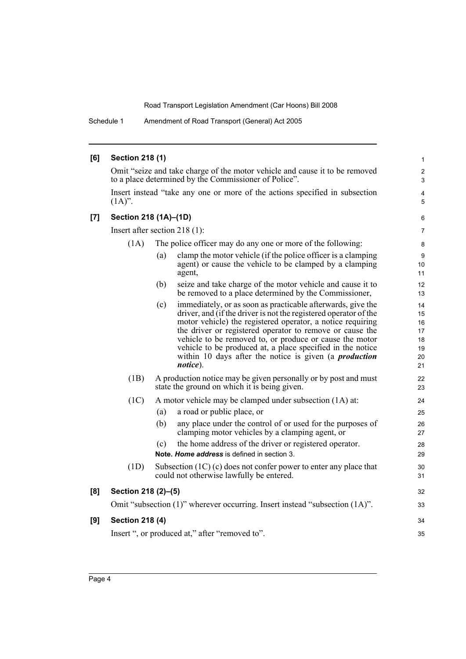Schedule 1 Amendment of Road Transport (General) Act 2005

| [6] | <b>Section 218 (1)</b>                                                      |     |                                                                                                                                                                                                                                                                                                                                                                                                                                                                 | $\mathbf{1}$                                 |
|-----|-----------------------------------------------------------------------------|-----|-----------------------------------------------------------------------------------------------------------------------------------------------------------------------------------------------------------------------------------------------------------------------------------------------------------------------------------------------------------------------------------------------------------------------------------------------------------------|----------------------------------------------|
|     |                                                                             |     | Omit "seize and take charge of the motor vehicle and cause it to be removed<br>to a place determined by the Commissioner of Police".                                                                                                                                                                                                                                                                                                                            | $\overline{\mathbf{c}}$<br>3                 |
|     | $(1A)$ ".                                                                   |     | Insert instead "take any one or more of the actions specified in subsection                                                                                                                                                                                                                                                                                                                                                                                     | 4<br>5                                       |
| [7] | Section 218 (1A)-(1D)                                                       |     |                                                                                                                                                                                                                                                                                                                                                                                                                                                                 | 6                                            |
|     | Insert after section $218(1)$ :                                             |     |                                                                                                                                                                                                                                                                                                                                                                                                                                                                 |                                              |
|     | (1A)                                                                        |     | The police officer may do any one or more of the following:                                                                                                                                                                                                                                                                                                                                                                                                     | 8                                            |
|     |                                                                             | (a) | clamp the motor vehicle (if the police officer is a clamping<br>agent) or cause the vehicle to be clamped by a clamping<br>agent,                                                                                                                                                                                                                                                                                                                               | 9<br>10<br>11                                |
|     |                                                                             | (b) | seize and take charge of the motor vehicle and cause it to<br>be removed to a place determined by the Commissioner,                                                                                                                                                                                                                                                                                                                                             | 12<br>13                                     |
|     |                                                                             | (c) | immediately, or as soon as practicable afterwards, give the<br>driver, and (if the driver is not the registered operator of the<br>motor vehicle) the registered operator, a notice requiring<br>the driver or registered operator to remove or cause the<br>vehicle to be removed to, or produce or cause the motor<br>vehicle to be produced at, a place specified in the notice<br>within 10 days after the notice is given (a <i>production</i><br>notice). | 14<br>15<br>16<br>17<br>18<br>19<br>20<br>21 |
|     | (1B)                                                                        |     | A production notice may be given personally or by post and must<br>state the ground on which it is being given.                                                                                                                                                                                                                                                                                                                                                 | 22<br>23                                     |
|     | (1C)                                                                        |     | A motor vehicle may be clamped under subsection (1A) at:                                                                                                                                                                                                                                                                                                                                                                                                        | 24                                           |
|     |                                                                             | (a) | a road or public place, or                                                                                                                                                                                                                                                                                                                                                                                                                                      | 25                                           |
|     |                                                                             | (b) | any place under the control of or used for the purposes of<br>clamping motor vehicles by a clamping agent, or                                                                                                                                                                                                                                                                                                                                                   | 26<br>27                                     |
|     |                                                                             | (c) | the home address of the driver or registered operator.<br>Note. Home address is defined in section 3.                                                                                                                                                                                                                                                                                                                                                           | 28<br>29                                     |
|     | (1D)                                                                        |     | Subsection $(1C)$ (c) does not confer power to enter any place that<br>could not otherwise lawfully be entered.                                                                                                                                                                                                                                                                                                                                                 | 30<br>31                                     |
| [8] | Section 218 (2)-(5)                                                         |     |                                                                                                                                                                                                                                                                                                                                                                                                                                                                 | 32                                           |
|     | Omit "subsection (1)" wherever occurring. Insert instead "subsection (1A)". |     |                                                                                                                                                                                                                                                                                                                                                                                                                                                                 | 33                                           |
| [9] | <b>Section 218 (4)</b>                                                      |     |                                                                                                                                                                                                                                                                                                                                                                                                                                                                 | 34                                           |
|     |                                                                             |     | Insert ", or produced at," after "removed to".                                                                                                                                                                                                                                                                                                                                                                                                                  | 35                                           |
|     |                                                                             |     |                                                                                                                                                                                                                                                                                                                                                                                                                                                                 |                                              |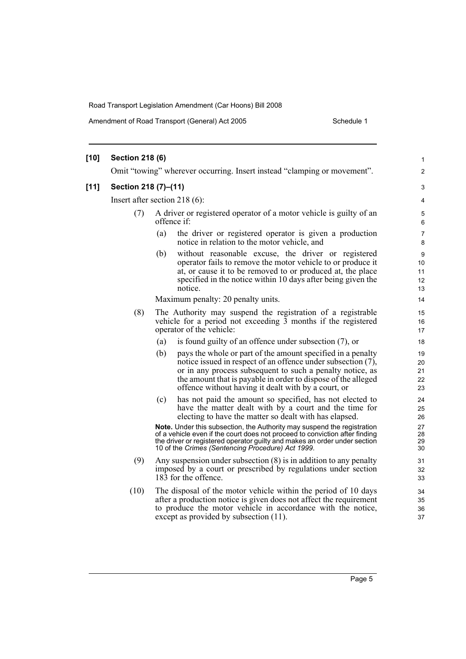Amendment of Road Transport (General) Act 2005 Schedule 1

| $[10]$ | <b>Section 218 (6)</b>           |                                                                                                                                                                                                                                                                                                                         | 1                          |  |  |
|--------|----------------------------------|-------------------------------------------------------------------------------------------------------------------------------------------------------------------------------------------------------------------------------------------------------------------------------------------------------------------------|----------------------------|--|--|
|        |                                  | Omit "towing" wherever occurring. Insert instead "clamping or movement".                                                                                                                                                                                                                                                | 2                          |  |  |
| $[11]$ | Section 218 (7)-(11)             |                                                                                                                                                                                                                                                                                                                         |                            |  |  |
|        | Insert after section 218 $(6)$ : |                                                                                                                                                                                                                                                                                                                         |                            |  |  |
|        | (7)                              | A driver or registered operator of a motor vehicle is guilty of an<br>offence if:                                                                                                                                                                                                                                       |                            |  |  |
|        |                                  | the driver or registered operator is given a production<br>(a)<br>notice in relation to the motor vehicle, and                                                                                                                                                                                                          | 7<br>8                     |  |  |
|        |                                  | without reasonable excuse, the driver or registered<br>(b)<br>operator fails to remove the motor vehicle to or produce it<br>at, or cause it to be removed to or produced at, the place<br>specified in the notice within 10 days after being given the<br>notice.                                                      | 9<br>10<br>11<br>12<br>13  |  |  |
|        |                                  | Maximum penalty: 20 penalty units.                                                                                                                                                                                                                                                                                      | 14                         |  |  |
|        | (8)                              | The Authority may suspend the registration of a registrable<br>vehicle for a period not exceeding 3 months if the registered<br>operator of the vehicle:                                                                                                                                                                | 15<br>16<br>17             |  |  |
|        |                                  | is found guilty of an offence under subsection (7), or<br>(a)                                                                                                                                                                                                                                                           | 18                         |  |  |
|        |                                  | (b)<br>pays the whole or part of the amount specified in a penalty<br>notice issued in respect of an offence under subsection (7),<br>or in any process subsequent to such a penalty notice, as<br>the amount that is payable in order to dispose of the alleged<br>offence without having it dealt with by a court, or | 19<br>20<br>21<br>22<br>23 |  |  |
|        |                                  | has not paid the amount so specified, has not elected to<br>(c)<br>have the matter dealt with by a court and the time for<br>electing to have the matter so dealt with has elapsed.<br>Note. Under this subsection, the Authority may suspend the registration                                                          | 24<br>25<br>26<br>27       |  |  |
|        |                                  | of a vehicle even if the court does not proceed to conviction after finding<br>the driver or registered operator guilty and makes an order under section<br>10 of the Crimes (Sentencing Procedure) Act 1999.                                                                                                           | 28<br>29<br>30             |  |  |
|        | (9)                              | Any suspension under subsection $(8)$ is in addition to any penalty<br>imposed by a court or prescribed by regulations under section<br>183 for the offence.                                                                                                                                                            |                            |  |  |
|        | (10)                             | The disposal of the motor vehicle within the period of 10 days<br>after a production notice is given does not affect the requirement<br>to produce the motor vehicle in accordance with the notice,<br>except as provided by subsection (11).                                                                           | 34<br>35<br>36<br>37       |  |  |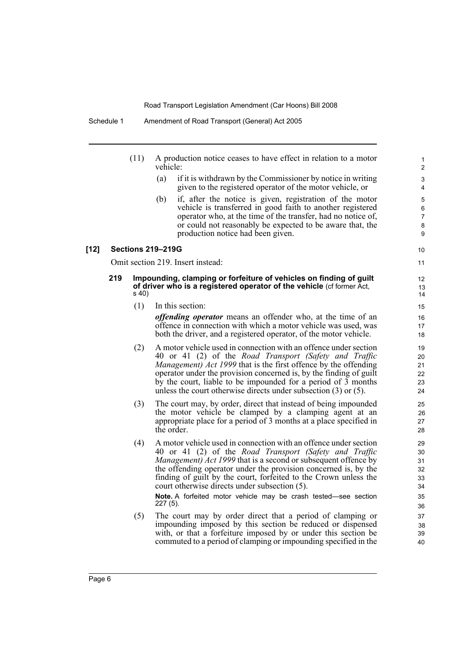| (11) | A production notice ceases to have effect in relation to a motor |
|------|------------------------------------------------------------------|
|      | vehicle:                                                         |

(a) if it is withdrawn by the Commissioner by notice in writing given to the registered operator of the motor vehicle, or

10 11

(b) if, after the notice is given, registration of the motor vehicle is transferred in good faith to another registered operator who, at the time of the transfer, had no notice of, or could not reasonably be expected to be aware that, the production notice had been given.

#### **[12] Sections 219–219G**

Omit section 219. Insert instead:

#### **219 Impounding, clamping or forfeiture of vehicles on finding of guilt of driver who is a registered operator of the vehicle** (cf former Act, s 40)

(1) In this section:

*offending operator* means an offender who, at the time of an offence in connection with which a motor vehicle was used, was both the driver, and a registered operator, of the motor vehicle.

- (2) A motor vehicle used in connection with an offence under section 40 or 41 (2) of the *Road Transport (Safety and Traffic Management) Act 1999* that is the first offence by the offending operator under the provision concerned is, by the finding of guilt by the court, liable to be impounded for a period of 3 months unless the court otherwise directs under subsection (3) or (5).
- (3) The court may, by order, direct that instead of being impounded the motor vehicle be clamped by a clamping agent at an appropriate place for a period of 3 months at a place specified in the order.
- (4) A motor vehicle used in connection with an offence under section 40 or 41 (2) of the *Road Transport (Safety and Traffic Management) Act 1999* that is a second or subsequent offence by the offending operator under the provision concerned is, by the finding of guilt by the court, forfeited to the Crown unless the court otherwise directs under subsection (5).

**Note.** A forfeited motor vehicle may be crash tested—see section 227 (5).

(5) The court may by order direct that a period of clamping or impounding imposed by this section be reduced or dispensed with, or that a forfeiture imposed by or under this section be commuted to a period of clamping or impounding specified in the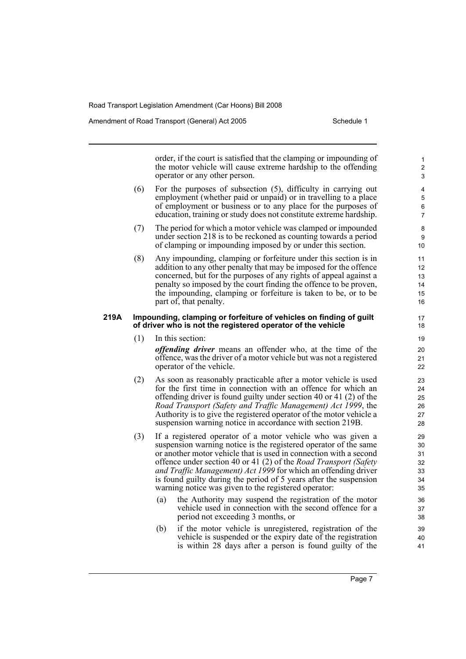Amendment of Road Transport (General) Act 2005 Schedule 1

order, if the court is satisfied that the clamping or impounding of the motor vehicle will cause extreme hardship to the offending operator or any other person.

- (6) For the purposes of subsection (5), difficulty in carrying out employment (whether paid or unpaid) or in travelling to a place of employment or business or to any place for the purposes of education, training or study does not constitute extreme hardship.
- (7) The period for which a motor vehicle was clamped or impounded under section 218 is to be reckoned as counting towards a period of clamping or impounding imposed by or under this section.
- (8) Any impounding, clamping or forfeiture under this section is in addition to any other penalty that may be imposed for the offence concerned, but for the purposes of any rights of appeal against a penalty so imposed by the court finding the offence to be proven, the impounding, clamping or forfeiture is taken to be, or to be part of, that penalty.

#### **219A Impounding, clamping or forfeiture of vehicles on finding of guilt of driver who is not the registered operator of the vehicle**

(1) In this section:

*offending driver* means an offender who, at the time of the offence, was the driver of a motor vehicle but was not a registered operator of the vehicle.

- (2) As soon as reasonably practicable after a motor vehicle is used for the first time in connection with an offence for which an offending driver is found guilty under section 40 or 41 (2) of the *Road Transport (Safety and Traffic Management) Act 1999*, the Authority is to give the registered operator of the motor vehicle a suspension warning notice in accordance with section 219B.
- (3) If a registered operator of a motor vehicle who was given a suspension warning notice is the registered operator of the same or another motor vehicle that is used in connection with a second offence under section 40 or 41 (2) of the *Road Transport (Safety and Traffic Management) Act 1999* for which an offending driver is found guilty during the period of 5 years after the suspension warning notice was given to the registered operator:
	- (a) the Authority may suspend the registration of the motor vehicle used in connection with the second offence for a period not exceeding 3 months, or
	- (b) if the motor vehicle is unregistered, registration of the vehicle is suspended or the expiry date of the registration is within 28 days after a person is found guilty of the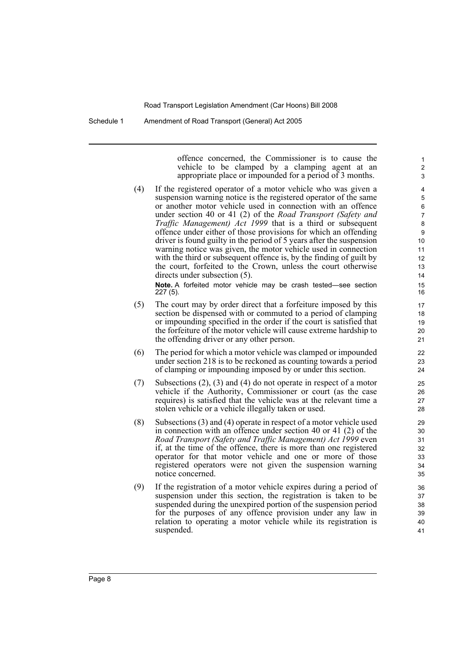Schedule 1 Amendment of Road Transport (General) Act 2005

offence concerned, the Commissioner is to cause the vehicle to be clamped by a clamping agent at an appropriate place or impounded for a period of 3 months.

(4) If the registered operator of a motor vehicle who was given a suspension warning notice is the registered operator of the same or another motor vehicle used in connection with an offence under section 40 or 41 (2) of the *Road Transport (Safety and Traffic Management) Act 1999* that is a third or subsequent offence under either of those provisions for which an offending driver is found guilty in the period of 5 years after the suspension warning notice was given, the motor vehicle used in connection with the third or subsequent offence is, by the finding of guilt by the court, forfeited to the Crown, unless the court otherwise directs under subsection (5).

**Note.** A forfeited motor vehicle may be crash tested—see section 227 (5).

- (5) The court may by order direct that a forfeiture imposed by this section be dispensed with or commuted to a period of clamping or impounding specified in the order if the court is satisfied that the forfeiture of the motor vehicle will cause extreme hardship to the offending driver or any other person.
- (6) The period for which a motor vehicle was clamped or impounded under section 218 is to be reckoned as counting towards a period of clamping or impounding imposed by or under this section.
- (7) Subsections (2), (3) and (4) do not operate in respect of a motor vehicle if the Authority, Commissioner or court (as the case requires) is satisfied that the vehicle was at the relevant time a stolen vehicle or a vehicle illegally taken or used.
- (8) Subsections (3) and (4) operate in respect of a motor vehicle used in connection with an offence under section 40 or 41 (2) of the *Road Transport (Safety and Traffic Management) Act 1999* even if, at the time of the offence, there is more than one registered operator for that motor vehicle and one or more of those registered operators were not given the suspension warning notice concerned.
- (9) If the registration of a motor vehicle expires during a period of suspension under this section, the registration is taken to be suspended during the unexpired portion of the suspension period for the purposes of any offence provision under any law in relation to operating a motor vehicle while its registration is suspended.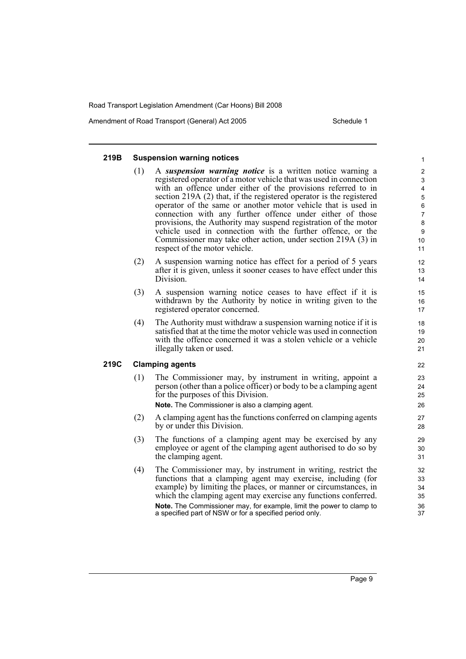Amendment of Road Transport (General) Act 2005 Schedule 1

## **219B Suspension warning notices**

- (1) A *suspension warning notice* is a written notice warning a registered operator of a motor vehicle that was used in connection with an offence under either of the provisions referred to in section 219A (2) that, if the registered operator is the registered operator of the same or another motor vehicle that is used in connection with any further offence under either of those provisions, the Authority may suspend registration of the motor vehicle used in connection with the further offence, or the Commissioner may take other action, under section 219A (3) in respect of the motor vehicle.
- (2) A suspension warning notice has effect for a period of 5 years after it is given, unless it sooner ceases to have effect under this Division.
- (3) A suspension warning notice ceases to have effect if it is withdrawn by the Authority by notice in writing given to the registered operator concerned.
- (4) The Authority must withdraw a suspension warning notice if it is satisfied that at the time the motor vehicle was used in connection with the offence concerned it was a stolen vehicle or a vehicle illegally taken or used.

### **219C Clamping agents**

(1) The Commissioner may, by instrument in writing, appoint a person (other than a police officer) or body to be a clamping agent for the purposes of this Division.

**Note.** The Commissioner is also a clamping agent.

- (2) A clamping agent has the functions conferred on clamping agents by or under this Division.
- (3) The functions of a clamping agent may be exercised by any employee or agent of the clamping agent authorised to do so by the clamping agent.
- (4) The Commissioner may, by instrument in writing, restrict the functions that a clamping agent may exercise, including (for example) by limiting the places, or manner or circumstances, in which the clamping agent may exercise any functions conferred. **Note.** The Commissioner may, for example, limit the power to clamp to a specified part of NSW or for a specified period only.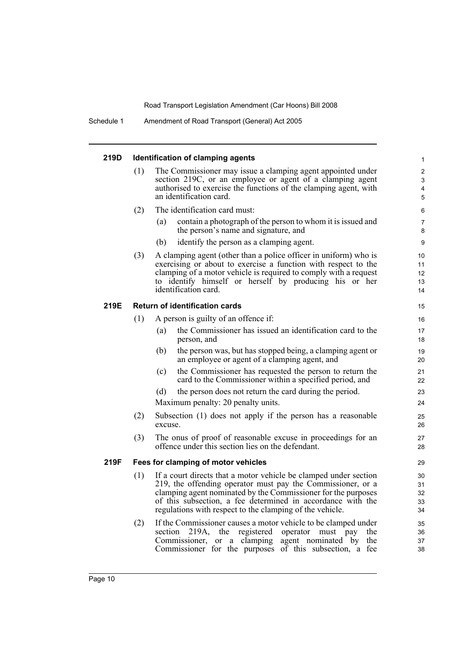Schedule 1 Amendment of Road Transport (General) Act 2005

#### **219D Identification of clamping agents**

- (1) The Commissioner may issue a clamping agent appointed under section 219C, or an employee or agent of a clamping agent authorised to exercise the functions of the clamping agent, with an identification card.
- (2) The identification card must:
	- (a) contain a photograph of the person to whom it is issued and the person's name and signature, and

- (b) identify the person as a clamping agent.
- (3) A clamping agent (other than a police officer in uniform) who is exercising or about to exercise a function with respect to the clamping of a motor vehicle is required to comply with a request to identify himself or herself by producing his or her identification card.

## **219E Return of identification cards**

- (1) A person is guilty of an offence if: (a) the Commissioner has issued an identification card to the person, and
	- (b) the person was, but has stopped being, a clamping agent or an employee or agent of a clamping agent, and
	- (c) the Commissioner has requested the person to return the card to the Commissioner within a specified period, and
	- (d) the person does not return the card during the period.

Maximum penalty: 20 penalty units.

- (2) Subsection (1) does not apply if the person has a reasonable excuse.
- (3) The onus of proof of reasonable excuse in proceedings for an offence under this section lies on the defendant.

#### **219F Fees for clamping of motor vehicles**

- (1) If a court directs that a motor vehicle be clamped under section 219, the offending operator must pay the Commissioner, or a clamping agent nominated by the Commissioner for the purposes of this subsection, a fee determined in accordance with the regulations with respect to the clamping of the vehicle.
- (2) If the Commissioner causes a motor vehicle to be clamped under section 219A, the registered operator must pay the Commissioner, or a clamping agent nominated by the Commissioner for the purposes of this subsection, a fee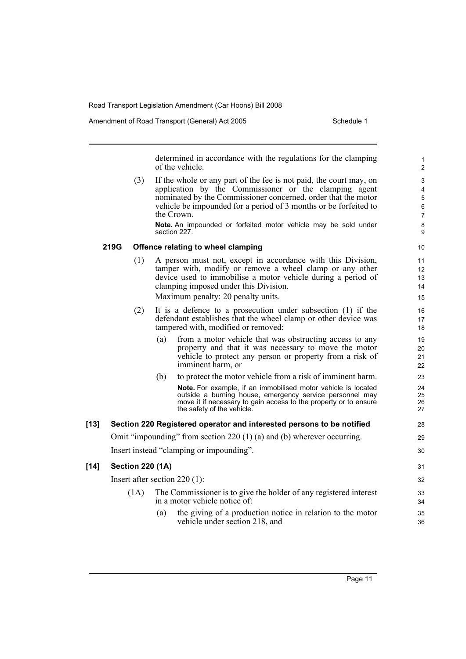Amendment of Road Transport (General) Act 2005 Schedule 1

determined in accordance with the regulations for the clamping of the vehicle.

(3) If the whole or any part of the fee is not paid, the court may, on application by the Commissioner or the clamping agent nominated by the Commissioner concerned, order that the motor vehicle be impounded for a period of 3 months or be forfeited to the Crown.

**Note.** An impounded or forfeited motor vehicle may be sold under section 227.

## **219G Offence relating to wheel clamping**

(1) A person must not, except in accordance with this Division, tamper with, modify or remove a wheel clamp or any other device used to immobilise a motor vehicle during a period of clamping imposed under this Division.

Maximum penalty: 20 penalty units.

- (2) It is a defence to a prosecution under subsection (1) if the defendant establishes that the wheel clamp or other device was tampered with, modified or removed:
	- (a) from a motor vehicle that was obstructing access to any property and that it was necessary to move the motor vehicle to protect any person or property from a risk of imminent harm, or
	- (b) to protect the motor vehicle from a risk of imminent harm. **Note.** For example, if an immobilised motor vehicle is located outside a burning house, emergency service personnel may move it if necessary to gain access to the property or to ensure the safety of the vehicle.

## **[13] Section 220 Registered operator and interested persons to be notified**

Omit "impounding" from section 220 (1) (a) and (b) wherever occurring. Insert instead "clamping or impounding".

## **[14] Section 220 (1A)**

Insert after section 220 (1):

- (1A) The Commissioner is to give the holder of any registered interest in a motor vehicle notice of:
	- (a) the giving of a production notice in relation to the motor vehicle under section 218, and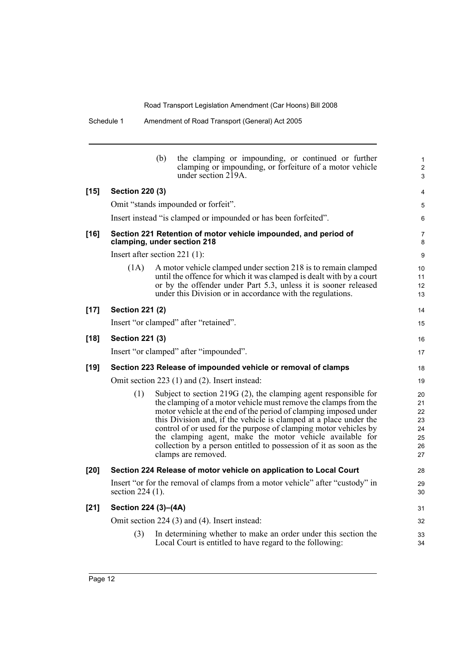| Schedule 1 | Amendment of Road Transport (General) Act 2005 |  |
|------------|------------------------------------------------|--|
|            |                                                |  |

|        |                                                               | (b)                                                             | the clamping or impounding, or continued or further<br>clamping or impounding, or forfeiture of a motor vehicle<br>under section $2\overline{1}9A$ .                                                                                                                                                                                                                                                                                                                                                       | $\mathbf{1}$<br>2<br>3                       |
|--------|---------------------------------------------------------------|-----------------------------------------------------------------|------------------------------------------------------------------------------------------------------------------------------------------------------------------------------------------------------------------------------------------------------------------------------------------------------------------------------------------------------------------------------------------------------------------------------------------------------------------------------------------------------------|----------------------------------------------|
| $[15]$ | <b>Section 220 (3)</b>                                        |                                                                 |                                                                                                                                                                                                                                                                                                                                                                                                                                                                                                            | $\overline{4}$                               |
|        |                                                               |                                                                 | Omit "stands impounded or forfeit".                                                                                                                                                                                                                                                                                                                                                                                                                                                                        | 5                                            |
|        |                                                               |                                                                 | Insert instead "is clamped or impounded or has been forfeited".                                                                                                                                                                                                                                                                                                                                                                                                                                            | 6                                            |
| $[16]$ | clamping, under section 218                                   | Section 221 Retention of motor vehicle impounded, and period of | $\overline{7}$<br>8                                                                                                                                                                                                                                                                                                                                                                                                                                                                                        |                                              |
|        | Insert after section $221$ (1):                               |                                                                 |                                                                                                                                                                                                                                                                                                                                                                                                                                                                                                            | 9                                            |
|        | (1A)                                                          |                                                                 | A motor vehicle clamped under section 218 is to remain clamped<br>until the offence for which it was clamped is dealt with by a court<br>or by the offender under Part 5.3, unless it is sooner released<br>under this Division or in accordance with the regulations.                                                                                                                                                                                                                                     | 10<br>11<br>12<br>13                         |
| $[17]$ | <b>Section 221 (2)</b>                                        |                                                                 |                                                                                                                                                                                                                                                                                                                                                                                                                                                                                                            | 14                                           |
|        |                                                               |                                                                 | Insert "or clamped" after "retained".                                                                                                                                                                                                                                                                                                                                                                                                                                                                      | 15                                           |
| $[18]$ | <b>Section 221 (3)</b>                                        |                                                                 |                                                                                                                                                                                                                                                                                                                                                                                                                                                                                                            | 16                                           |
|        |                                                               |                                                                 | Insert "or clamped" after "impounded".                                                                                                                                                                                                                                                                                                                                                                                                                                                                     | 17                                           |
| $[19]$ | Section 223 Release of impounded vehicle or removal of clamps |                                                                 |                                                                                                                                                                                                                                                                                                                                                                                                                                                                                                            |                                              |
|        |                                                               |                                                                 | Omit section 223 (1) and (2). Insert instead:                                                                                                                                                                                                                                                                                                                                                                                                                                                              | 19                                           |
|        | (1)                                                           |                                                                 | Subject to section $219G(2)$ , the clamping agent responsible for<br>the clamping of a motor vehicle must remove the clamps from the<br>motor vehicle at the end of the period of clamping imposed under<br>this Division and, if the vehicle is clamped at a place under the<br>control of or used for the purpose of clamping motor vehicles by<br>the clamping agent, make the motor vehicle available for<br>collection by a person entitled to possession of it as soon as the<br>clamps are removed. | 20<br>21<br>22<br>23<br>24<br>25<br>26<br>27 |
| $[20]$ |                                                               |                                                                 | Section 224 Release of motor vehicle on application to Local Court                                                                                                                                                                                                                                                                                                                                                                                                                                         | 28                                           |
|        | section $224(1)$ .                                            |                                                                 | Insert "or for the removal of clamps from a motor vehicle" after "custody" in                                                                                                                                                                                                                                                                                                                                                                                                                              | 29<br>30                                     |
| $[21]$ | Section 224 (3)-(4A)                                          |                                                                 |                                                                                                                                                                                                                                                                                                                                                                                                                                                                                                            | 31                                           |
|        |                                                               |                                                                 | Omit section 224 (3) and (4). Insert instead:                                                                                                                                                                                                                                                                                                                                                                                                                                                              | 32                                           |
|        | (3)                                                           |                                                                 | In determining whether to make an order under this section the<br>Local Court is entitled to have regard to the following:                                                                                                                                                                                                                                                                                                                                                                                 | 33<br>34                                     |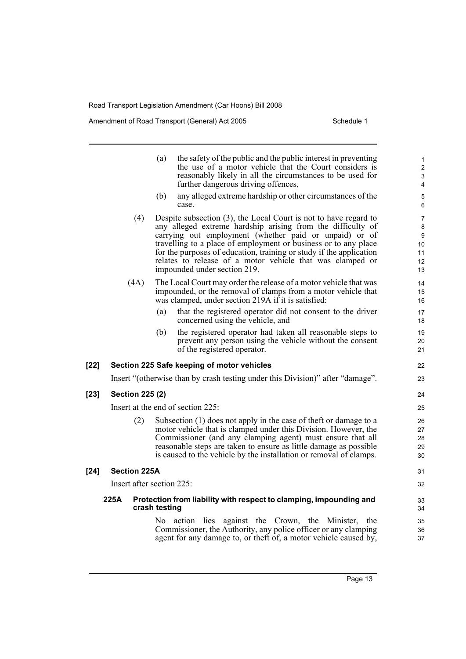Amendment of Road Transport (General) Act 2005 Schedule 1

|        |                        | the safety of the public and the public interest in preventing<br>(a)<br>the use of a motor vehicle that the Court considers is<br>reasonably likely in all the circumstances to be used for<br>further dangerous driving offences,                                                                                                                                                                                              | $\mathbf{1}$<br>$\overline{c}$<br>3<br>$\overline{4}$ |
|--------|------------------------|----------------------------------------------------------------------------------------------------------------------------------------------------------------------------------------------------------------------------------------------------------------------------------------------------------------------------------------------------------------------------------------------------------------------------------|-------------------------------------------------------|
|        |                        | any alleged extreme hardship or other circumstances of the<br>(b)<br>case.                                                                                                                                                                                                                                                                                                                                                       | $\sqrt{5}$<br>6                                       |
|        | (4)                    | Despite subsection (3), the Local Court is not to have regard to<br>any alleged extreme hardship arising from the difficulty of<br>carrying out employment (whether paid or unpaid) or of<br>travelling to a place of employment or business or to any place<br>for the purposes of education, training or study if the application<br>relates to release of a motor vehicle that was clamped or<br>impounded under section 219. | $\overline{7}$<br>8<br>9<br>10<br>11<br>12<br>13      |
|        | (4A)                   | The Local Court may order the release of a motor vehicle that was<br>impounded, or the removal of clamps from a motor vehicle that<br>was clamped, under section 219A if it is satisfied:                                                                                                                                                                                                                                        | 14<br>15<br>16                                        |
|        |                        | that the registered operator did not consent to the driver<br>(a)<br>concerned using the vehicle, and                                                                                                                                                                                                                                                                                                                            | 17<br>18                                              |
|        |                        | the registered operator had taken all reasonable steps to<br>(b)<br>prevent any person using the vehicle without the consent<br>of the registered operator.                                                                                                                                                                                                                                                                      | 19<br>20<br>21                                        |
| $[22]$ |                        | Section 225 Safe keeping of motor vehicles                                                                                                                                                                                                                                                                                                                                                                                       | 22                                                    |
|        |                        | Insert "(otherwise than by crash testing under this Division)" after "damage".                                                                                                                                                                                                                                                                                                                                                   | 23                                                    |
| $[23]$ | <b>Section 225 (2)</b> |                                                                                                                                                                                                                                                                                                                                                                                                                                  | 24                                                    |
|        |                        | Insert at the end of section 225:                                                                                                                                                                                                                                                                                                                                                                                                | 25                                                    |
|        | (2)                    | Subsection $(1)$ does not apply in the case of theft or damage to a<br>motor vehicle that is clamped under this Division. However, the<br>Commissioner (and any clamping agent) must ensure that all<br>reasonable steps are taken to ensure as little damage as possible<br>is caused to the vehicle by the installation or removal of clamps.                                                                                  | 26<br>27<br>28<br>29<br>30                            |
| $[24]$ | <b>Section 225A</b>    |                                                                                                                                                                                                                                                                                                                                                                                                                                  | 31                                                    |
|        |                        | Insert after section 225:                                                                                                                                                                                                                                                                                                                                                                                                        | 32                                                    |
|        | 225A                   | Protection from liability with respect to clamping, impounding and<br>crash testing                                                                                                                                                                                                                                                                                                                                              | 33<br>34                                              |
|        |                        | action lies<br>against the Crown, the Minister,<br>No.<br>the<br>Commissioner, the Authority, any police officer or any clamping                                                                                                                                                                                                                                                                                                 | 35<br>36                                              |

agent for any damage to, or theft of, a motor vehicle caused by,

37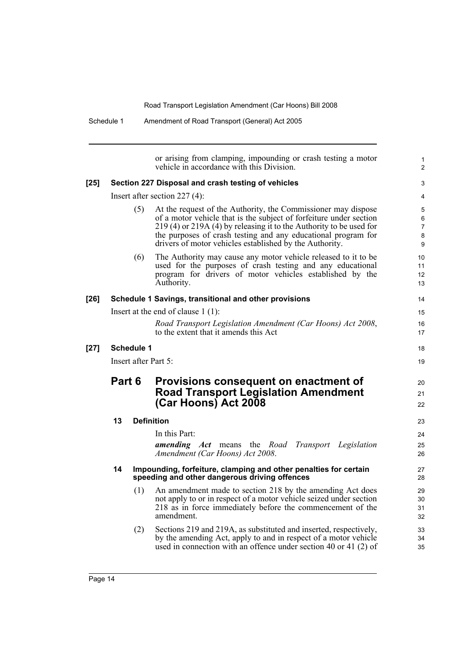Schedule 1 Amendment of Road Transport (General) Act 2005

or arising from clamping, impounding or crash testing a motor vehicle in accordance with this Division. **[25] Section 227 Disposal and crash testing of vehicles** Insert after section 227 (4): (5) At the request of the Authority, the Commissioner may dispose of a motor vehicle that is the subject of forfeiture under section 219 (4) or 219A (4) by releasing it to the Authority to be used for the purposes of crash testing and any educational program for drivers of motor vehicles established by the Authority. (6) The Authority may cause any motor vehicle released to it to be used for the purposes of crash testing and any educational program for drivers of motor vehicles established by the Authority. **[26] Schedule 1 Savings, transitional and other provisions** Insert at the end of clause 1 (1): *Road Transport Legislation Amendment (Car Hoons) Act 2008*, to the extent that it amends this Act **[27] Schedule 1** Insert after Part 5: **Part 6 Provisions consequent on enactment of Road Transport Legislation Amendment (Car Hoons) Act 2008 13 Definition** In this Part: *amending Act* means the *Road Transport Legislation Amendment (Car Hoons) Act 2008*. **14 Impounding, forfeiture, clamping and other penalties for certain speeding and other dangerous driving offences** (1) An amendment made to section 218 by the amending Act does not apply to or in respect of a motor vehicle seized under section 218 as in force immediately before the commencement of the amendment. (2) Sections 219 and 219A, as substituted and inserted, respectively, by the amending Act, apply to and in respect of a motor vehicle used in connection with an offence under section 40 or 41 (2) of 1  $\overline{2}$ 3 4 5 6 7 8 9 10 11 12 13 14 15 16 17 18 19 20 21 22 23 24 25 26 27 28 29 30 31 32 33 34 35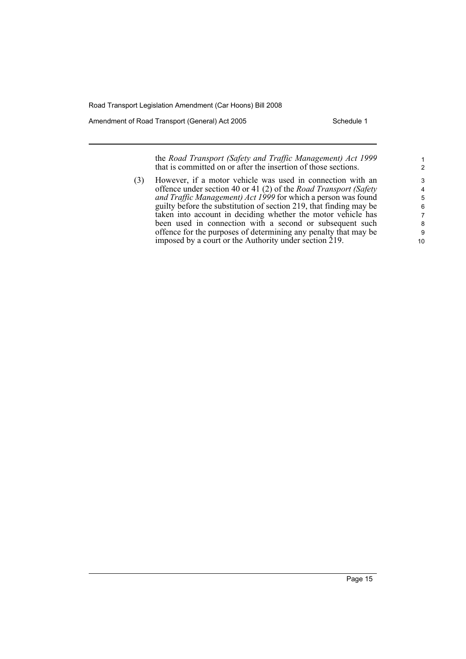Amendment of Road Transport (General) Act 2005 Schedule 1

the *Road Transport (Safety and Traffic Management) Act 1999* that is committed on or after the insertion of those sections.

(3) However, if a motor vehicle was used in connection with an offence under section 40 or 41 (2) of the *Road Transport (Safety and Traffic Management) Act 1999* for which a person was found guilty before the substitution of section 219, that finding may be taken into account in deciding whether the motor vehicle has been used in connection with a second or subsequent such offence for the purposes of determining any penalty that may be imposed by a court or the Authority under section 219.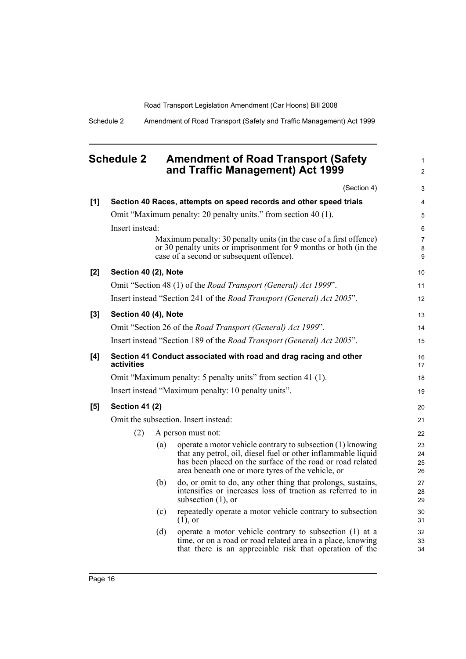1 2

Schedule 2 Amendment of Road Transport (Safety and Traffic Management) Act 1999

## <span id="page-25-0"></span>**Schedule 2 Amendment of Road Transport (Safety and Traffic Management) Act 1999**

|       |                       |     | (Section 4)                                                                                                                                                                       | 3              |
|-------|-----------------------|-----|-----------------------------------------------------------------------------------------------------------------------------------------------------------------------------------|----------------|
| [1]   |                       |     | Section 40 Races, attempts on speed records and other speed trials                                                                                                                | 4              |
|       |                       |     | Omit "Maximum penalty: 20 penalty units." from section 40 (1).                                                                                                                    | 5              |
|       | Insert instead:       |     |                                                                                                                                                                                   | 6              |
|       |                       |     | Maximum penalty: 30 penalty units (in the case of a first offence)                                                                                                                | $\overline{7}$ |
|       |                       |     | or 30 penalty units or imprisonment for 9 months or both (in the<br>case of a second or subsequent offence).                                                                      | 8<br>9         |
| [2]   | Section 40 (2), Note  |     |                                                                                                                                                                                   | 10             |
|       |                       |     | Omit "Section 48 (1) of the Road Transport (General) Act 1999".                                                                                                                   | 11             |
|       |                       |     | Insert instead "Section 241 of the <i>Road Transport (General) Act 2005</i> ".                                                                                                    | 12             |
| $[3]$ | Section 40 (4), Note  |     |                                                                                                                                                                                   | 13             |
|       |                       |     | Omit "Section 26 of the Road Transport (General) Act 1999".                                                                                                                       | 14             |
|       |                       |     | Insert instead "Section 189 of the Road Transport (General) Act 2005".                                                                                                            | 15             |
| [4]   | activities            |     | Section 41 Conduct associated with road and drag racing and other                                                                                                                 | 16<br>17       |
|       |                       |     | Omit "Maximum penalty: 5 penalty units" from section 41 (1).                                                                                                                      | 18             |
|       |                       |     | Insert instead "Maximum penalty: 10 penalty units".                                                                                                                               | 19             |
| [5]   | <b>Section 41 (2)</b> |     |                                                                                                                                                                                   | 20             |
|       |                       |     | Omit the subsection. Insert instead:                                                                                                                                              | 21             |
|       | (2)                   |     | A person must not:                                                                                                                                                                | 22             |
|       |                       | (a) | operate a motor vehicle contrary to subsection (1) knowing                                                                                                                        | 23             |
|       |                       |     | that any petrol, oil, diesel fuel or other inflammable liquid<br>has been placed on the surface of the road or road related                                                       | 24<br>25       |
|       |                       |     | area beneath one or more tyres of the vehicle, or                                                                                                                                 | 26             |
|       |                       | (b) | do, or omit to do, any other thing that prolongs, sustains,<br>intensifies or increases loss of traction as referred to in<br>subsection $(1)$ , or                               | 27<br>28<br>29 |
|       |                       | (c) | repeatedly operate a motor vehicle contrary to subsection<br>$(1)$ , or                                                                                                           | 30<br>31       |
|       |                       | (d) | operate a motor vehicle contrary to subsection (1) at a<br>time, or on a road or road related area in a place, knowing<br>that there is an appreciable risk that operation of the | 32<br>33<br>34 |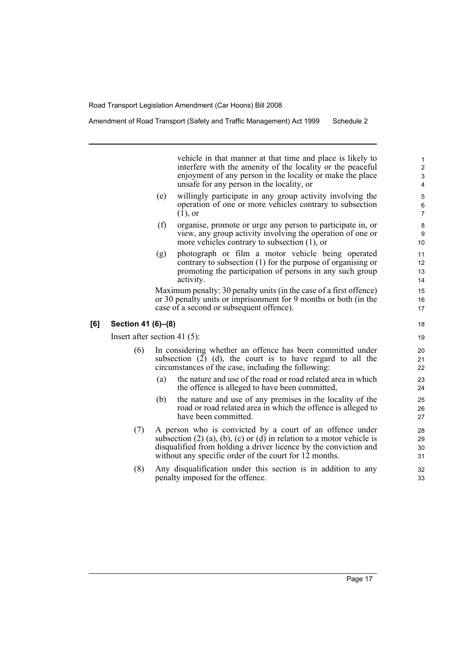Amendment of Road Transport (Safety and Traffic Management) Act 1999 Schedule 2

vehicle in that manner at that time and place is likely to interfere with the amenity of the locality or the peaceful enjoyment of any person in the locality or make the place unsafe for any person in the locality, or

- (e) willingly participate in any group activity involving the operation of one or more vehicles contrary to subsection (1), or
- (f) organise, promote or urge any person to participate in, or view, any group activity involving the operation of one or more vehicles contrary to subsection (1), or
- (g) photograph or film a motor vehicle being operated contrary to subsection (1) for the purpose of organising or promoting the participation of persons in any such group activity.

Maximum penalty: 30 penalty units (in the case of a first offence) or 30 penalty units or imprisonment for 9 months or both (in the case of a second or subsequent offence).

#### **[6] Section 41 (6)–(8)**

Insert after section 41 (5):

- (6) In considering whether an offence has been committed under subsection  $(2)$   $(d)$ , the court is to have regard to all the circumstances of the case, including the following:
	- (a) the nature and use of the road or road related area in which the offence is alleged to have been committed,
	- (b) the nature and use of any premises in the locality of the road or road related area in which the offence is alleged to have been committed.
- (7) A person who is convicted by a court of an offence under subsection  $(2)$   $(a)$ ,  $(b)$ ,  $(c)$  or  $(d)$  in relation to a motor vehicle is disqualified from holding a driver licence by the conviction and without any specific order of the court for 12 months.
- (8) Any disqualification under this section is in addition to any penalty imposed for the offence.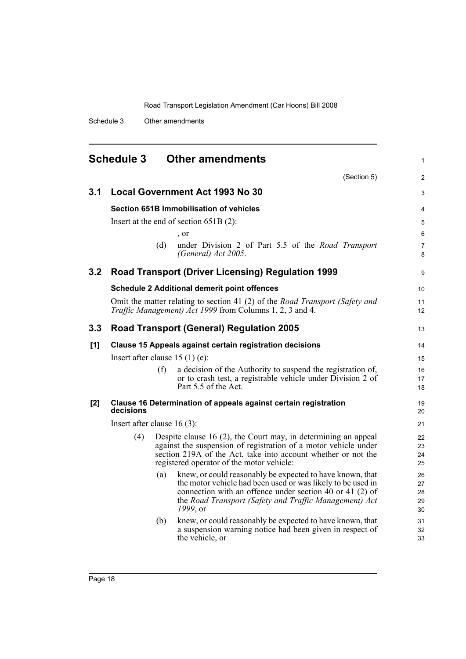Schedule 3 Other amendments

<span id="page-27-0"></span>

|                  | <b>Schedule 3</b><br><b>Other amendments</b><br>1 |     |                                                                                                                                                                                                                                                                |                            |  |
|------------------|---------------------------------------------------|-----|----------------------------------------------------------------------------------------------------------------------------------------------------------------------------------------------------------------------------------------------------------------|----------------------------|--|
|                  |                                                   |     | (Section 5)                                                                                                                                                                                                                                                    | 2                          |  |
| 3.1              |                                                   |     | <b>Local Government Act 1993 No 30</b>                                                                                                                                                                                                                         | 3                          |  |
|                  |                                                   |     | <b>Section 651B Immobilisation of vehicles</b>                                                                                                                                                                                                                 | 4                          |  |
|                  |                                                   |     | Insert at the end of section $651B(2)$ :                                                                                                                                                                                                                       | 5                          |  |
|                  |                                                   |     | , or                                                                                                                                                                                                                                                           | 6                          |  |
|                  |                                                   | (d) | under Division 2 of Part 5.5 of the Road Transport<br>(General) Act 2005.                                                                                                                                                                                      | $\overline{7}$<br>8        |  |
| 3.2              |                                                   |     | <b>Road Transport (Driver Licensing) Regulation 1999</b>                                                                                                                                                                                                       | 9                          |  |
|                  |                                                   |     | <b>Schedule 2 Additional demerit point offences</b>                                                                                                                                                                                                            | 10                         |  |
|                  |                                                   |     | Omit the matter relating to section 41 (2) of the <i>Road Transport (Safety and</i><br><i>Traffic Management) Act 1999</i> from Columns 1, 2, 3 and 4.                                                                                                         | 11<br>12                   |  |
| 3.3 <sub>2</sub> |                                                   |     | <b>Road Transport (General) Regulation 2005</b>                                                                                                                                                                                                                | 13                         |  |
| [1]              |                                                   |     | Clause 15 Appeals against certain registration decisions                                                                                                                                                                                                       | 14                         |  |
|                  | Insert after clause $15(1)(e)$ :                  |     |                                                                                                                                                                                                                                                                | 15                         |  |
|                  |                                                   | (f) | a decision of the Authority to suspend the registration of,<br>or to crash test, a registrable vehicle under Division 2 of<br>Part 5.5 of the Act.                                                                                                             | 16<br>17<br>18             |  |
| [2]              | decisions                                         |     | Clause 16 Determination of appeals against certain registration                                                                                                                                                                                                | 19<br>20                   |  |
|                  | Insert after clause $16(3)$ :                     |     |                                                                                                                                                                                                                                                                | 21                         |  |
|                  | (4)                                               |     | Despite clause 16 $(2)$ , the Court may, in determining an appeal<br>against the suspension of registration of a motor vehicle under<br>section 219A of the Act, take into account whether or not the<br>registered operator of the motor vehicle:             | 22<br>23<br>24<br>25       |  |
|                  |                                                   | (a) | knew, or could reasonably be expected to have known, that<br>the motor vehicle had been used or was likely to be used in<br>connection with an offence under section $40$ or $41$ (2) of<br>the Road Transport (Safety and Traffic Management) Act<br>1999, or | 26<br>27<br>28<br>29<br>30 |  |
|                  |                                                   | (b) | knew, or could reasonably be expected to have known, that<br>a suspension warning notice had been given in respect of<br>the vehicle, or                                                                                                                       | 31<br>32<br>33             |  |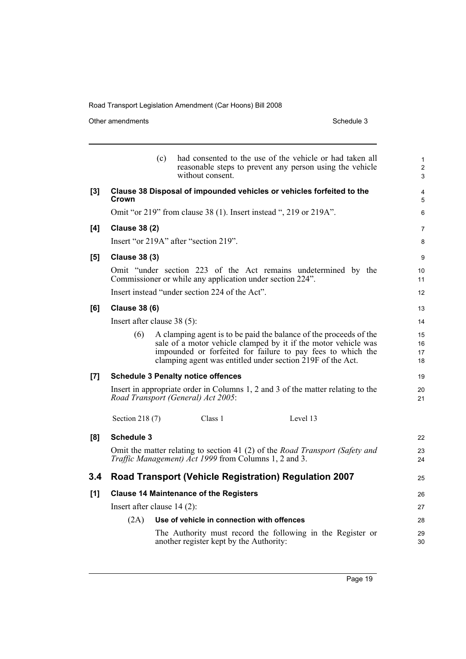Other amendments Schedule 3

|       |                               | (c) | without consent.                                          | had consented to the use of the vehicle or had taken all<br>reasonable steps to prevent any person using the vehicle                                                                                                                                             | 1<br>$\overline{c}$<br>3 |  |
|-------|-------------------------------|-----|-----------------------------------------------------------|------------------------------------------------------------------------------------------------------------------------------------------------------------------------------------------------------------------------------------------------------------------|--------------------------|--|
| [3]   | Crown                         |     |                                                           | Clause 38 Disposal of impounded vehicles or vehicles forfeited to the                                                                                                                                                                                            | 4<br>5                   |  |
|       |                               |     |                                                           | Omit "or 219" from clause 38 (1). Insert instead ", 219 or 219A".                                                                                                                                                                                                | 6                        |  |
| [4]   | <b>Clause 38 (2)</b>          |     |                                                           |                                                                                                                                                                                                                                                                  | 7                        |  |
|       |                               |     | Insert "or 219A" after "section 219".                     |                                                                                                                                                                                                                                                                  | 8                        |  |
| [5]   | <b>Clause 38 (3)</b>          |     |                                                           |                                                                                                                                                                                                                                                                  | 9                        |  |
|       |                               |     | Commissioner or while any application under section 224". | Omit "under section 223 of the Act remains undetermined by the                                                                                                                                                                                                   | 10<br>11                 |  |
|       |                               |     | Insert instead "under section 224 of the Act".            |                                                                                                                                                                                                                                                                  | 12                       |  |
| [6]   | <b>Clause 38 (6)</b>          |     |                                                           |                                                                                                                                                                                                                                                                  | 13                       |  |
|       | Insert after clause 38 (5):   |     |                                                           |                                                                                                                                                                                                                                                                  |                          |  |
|       | (6)                           |     |                                                           | A clamping agent is to be paid the balance of the proceeds of the<br>sale of a motor vehicle clamped by it if the motor vehicle was<br>impounded or forfeited for failure to pay fees to which the<br>clamping agent was entitled under section 219F of the Act. | 15<br>16<br>17<br>18     |  |
| $[7]$ |                               |     | <b>Schedule 3 Penalty notice offences</b>                 |                                                                                                                                                                                                                                                                  | 19                       |  |
|       |                               |     | Road Transport (General) Act 2005:                        | Insert in appropriate order in Columns 1, 2 and 3 of the matter relating to the                                                                                                                                                                                  | 20<br>21                 |  |
|       | Section 218 (7)               |     | Class 1                                                   | Level 13                                                                                                                                                                                                                                                         |                          |  |
| [8]   | Schedule 3                    |     |                                                           |                                                                                                                                                                                                                                                                  | 22                       |  |
|       |                               |     | Traffic Management) Act 1999 from Columns 1, 2 and 3.     | Omit the matter relating to section 41 (2) of the <i>Road Transport (Safety and</i>                                                                                                                                                                              | 23<br>24                 |  |
| 3.4   |                               |     |                                                           | Road Transport (Vehicle Registration) Regulation 2007                                                                                                                                                                                                            | 25                       |  |
| [1]   |                               |     | <b>Clause 14 Maintenance of the Registers</b>             |                                                                                                                                                                                                                                                                  | 26                       |  |
|       | Insert after clause $14(2)$ : |     |                                                           |                                                                                                                                                                                                                                                                  | 27                       |  |
|       | (2A)                          |     | Use of vehicle in connection with offences                |                                                                                                                                                                                                                                                                  | 28                       |  |
|       |                               |     | another register kept by the Authority:                   | The Authority must record the following in the Register or                                                                                                                                                                                                       | 29<br>30                 |  |
|       |                               |     |                                                           |                                                                                                                                                                                                                                                                  |                          |  |